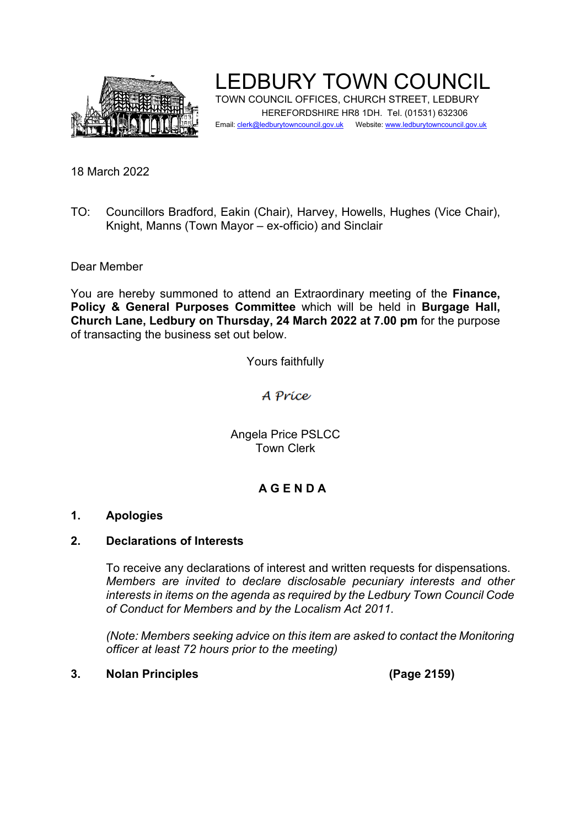

LEDBURY TOWN COUNCIL TOWN COUNCIL OFFICES, CHURCH STREET, LEDBURY HEREFORDSHIRE HR8 1DH. Tel. (01531) 632306 Email: clerk@ledburytowncouncil.gov.uk Website: www.ledburytowncouncil.gov.uk

18 March 2022

TO: Councillors Bradford, Eakin (Chair), Harvey, Howells, Hughes (Vice Chair), Knight, Manns (Town Mayor – ex-officio) and Sinclair

Dear Member

You are hereby summoned to attend an Extraordinary meeting of the **Finance, Policy & General Purposes Committee** which will be held in **Burgage Hall, Church Lane, Ledbury on Thursday, 24 March 2022 at 7.00 pm** for the purpose of transacting the business set out below.

Yours faithfully

A Príce

Angela Price PSLCC Town Clerk

# **A G E N D A**

## **1. Apologies**

## **2. Declarations of Interests**

To receive any declarations of interest and written requests for dispensations. *Members are invited to declare disclosable pecuniary interests and other interests in items on the agenda as required by the Ledbury Town Council Code of Conduct for Members and by the Localism Act 2011.* 

*(Note: Members seeking advice on this item are asked to contact the Monitoring officer at least 72 hours prior to the meeting)*

#### **3. Nolan Principles (Page 2159)**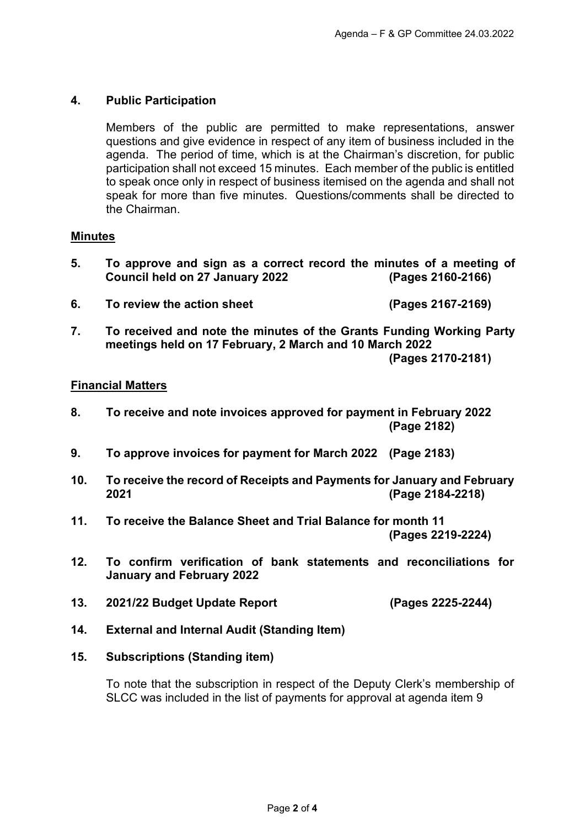## **4. Public Participation**

Members of the public are permitted to make representations, answer questions and give evidence in respect of any item of business included in the agenda. The period of time, which is at the Chairman's discretion, for public participation shall not exceed 15 minutes. Each member of the public is entitled to speak once only in respect of business itemised on the agenda and shall not speak for more than five minutes. Questions/comments shall be directed to the Chairman.

#### **Minutes**

- **5. To approve and sign as a correct record the minutes of a meeting of Council held on 27 January 2022 (Pages 2160-2166)**
- **6. To review the action sheet (Pages 2167-2169)**
- **7. To received and note the minutes of the Grants Funding Working Party meetings held on 17 February, 2 March and 10 March 2022**

**(Pages 2170-2181)**

#### **Financial Matters**

- **8. To receive and note invoices approved for payment in February 2022 (Page 2182)**
- **9. To approve invoices for payment for March 2022 (Page 2183)**
- **10. To receive the record of Receipts and Payments for January and February 2021 (Page 2184-2218)**
- **11. To receive the Balance Sheet and Trial Balance for month 11 (Pages 2219-2224)**
- **12. To confirm verification of bank statements and reconciliations for January and February 2022**
- **13. 2021/22 Budget Update Report (Pages 2225-2244)**
- **14. External and Internal Audit (Standing Item)**
- **15. Subscriptions (Standing item)**

To note that the subscription in respect of the Deputy Clerk's membership of SLCC was included in the list of payments for approval at agenda item 9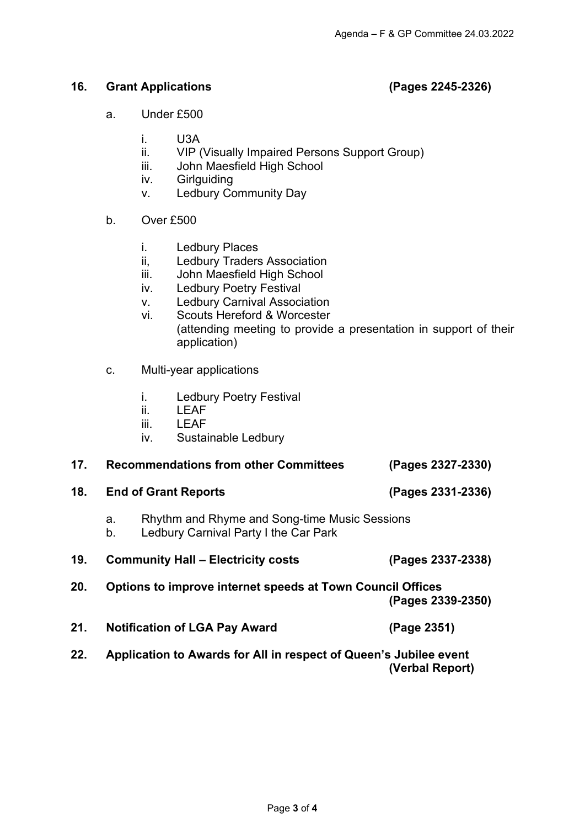### **16. Grant Applications (Pages 2245-2326)**

- a. Under £500
	- i. U3A
	- ii. VIP (Visually Impaired Persons Support Group)
	- iii. John Maesfield High School
	- iv. Girlguiding
	- v. Ledbury Community Day
- b. Over £500
	- i. Ledbury Places
	- ii, Ledbury Traders Association
	- iii. John Maesfield High School
	- iv. Ledbury Poetry Festival
	- v. Ledbury Carnival Association
	- vi. Scouts Hereford & Worcester (attending meeting to provide a presentation in support of their application)
- c. Multi-year applications
	- i. Ledbury Poetry Festival
	- ii. LEAF
	- iii. LEAF
	- iv. Sustainable Ledbury

| 17. | <b>Recommendations from other Committees</b> | (Pages 2327-2330) |
|-----|----------------------------------------------|-------------------|
|-----|----------------------------------------------|-------------------|

- **18. End of Grant Reports (Pages 2331-2336)**
	- a. Rhythm and Rhyme and Song-time Music Sessions
	- b. Ledbury Carnival Party I the Car Park
- **19. Community Hall – Electricity costs (Pages 2337-2338)**

**20. Options to improve internet speeds at Town Council Offices (Pages 2339-2350)**

**21. Notification of LGA Pay Award (Page 2351)**

**22. Application to Awards for All in respect of Queen's Jubilee event (Verbal Report)**